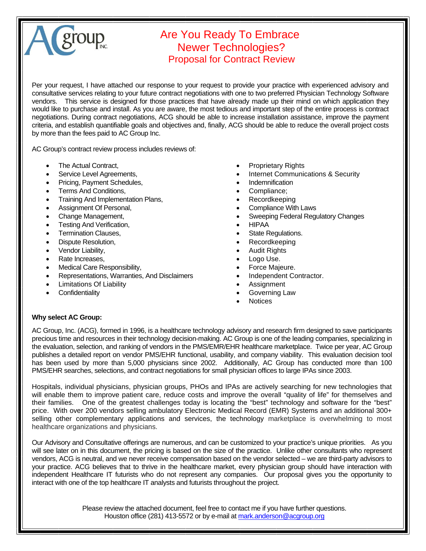

## Are You Ready To Embrace Newer Technologies? Proposal for Contract Review

Per your request, I have attached our response to your request to provide your practice with experienced advisory and consultative services relating to your future contract negotiations with one to two preferred Physician Technology Software vendors. This service is designed for those practices that have already made up their mind on which application they would like to purchase and install. As you are aware, the most tedious and important step of the entire process is contract negotiations. During contract negotiations, ACG should be able to increase installation assistance, improve the payment criteria, and establish quantifiable goals and objectives and, finally, ACG should be able to reduce the overall project costs by more than the fees paid to AC Group Inc.

AC Group's contract review process includes reviews of:

- The Actual Contract.
- Service Level Agreements,
- Pricing, Payment Schedules,
- Terms And Conditions,
- Training And Implementation Plans,
- Assignment Of Personal,
- Change Management,
- Testing And Verification,
- Termination Clauses,
- Dispute Resolution,
- Vendor Liability,
- Rate Increases,
- Medical Care Responsibility,
- Representations, Warranties, And Disclaimers
- Limitations Of Liability
- **Confidentiality**
- Proprietary Rights
- Internet Communications & Security
- **Indemnification**
- Compliance;
- Recordkeeping
- Compliance With Laws
- Sweeping Federal Regulatory Changes
- HIPAA
- State Regulations.
- Recordkeeping
- Audit Rights
- Logo Use.
- Force Majeure.
- Independent Contractor.
- **Assignment**
- Governing Law
- Notices

#### **Why select AC Group:**

AC Group, Inc. (ACG), formed in 1996, is a healthcare technology advisory and research firm designed to save participants precious time and resources in their technology decision-making. AC Group is one of the leading companies, specializing in the evaluation, selection, and ranking of vendors in the PMS/EMR/EHR healthcare marketplace. Twice per year, AC Group publishes a detailed report on vendor PMS/EHR functional, usability, and company viability. This evaluation decision tool has been used by more than 5,000 physicians since 2002. Additionally, AC Group has conducted more than 100 PMS/EHR searches, selections, and contract negotiations for small physician offices to large IPAs since 2003.

Hospitals, individual physicians, physician groups, PHOs and IPAs are actively searching for new technologies that will enable them to improve patient care, reduce costs and improve the overall "quality of life" for themselves and their families. One of the greatest challenges today is locating the "best" technology and software for the "best" price. With over 200 vendors selling ambulatory Electronic Medical Record (EMR) Systems and an additional 300+ selling other complementary applications and services, the technology marketplace is overwhelming to most healthcare organizations and physicians.

Our Advisory and Consultative offerings are numerous, and can be customized to your practice's unique priorities. As you will see later on in this document, the pricing is based on the size of the practice. Unlike other consultants who represent vendors, ACG is neutral, and we never receive compensation based on the vendor selected – we are third-party advisors to your practice. ACG believes that to thrive in the healthcare market, every physician group should have interaction with independent Healthcare IT futurists who do not represent any companies. Our proposal gives you the opportunity to interact with one of the top healthcare IT analysts and futurists throughout the project.

> Please review the attached document, feel free to contact me if you have further questions. Houston office (281) 413-5572 or by e-mail at mark.anderson@acgroup.org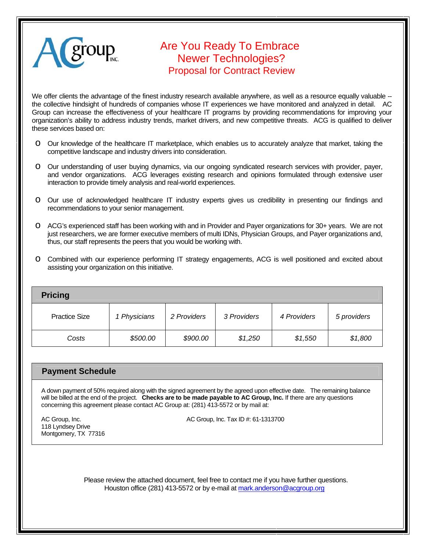

# Are You Ready To Embrace Newer Technologies? Proposal for Contract Review

We offer clients the advantage of the finest industry research available anywhere, as well as a resource equally valuable -the collective hindsight of hundreds of companies whose IT experiences we have monitored and analyzed in detail. AC Group can increase the effectiveness of your healthcare IT programs by providing recommendations for improving your organization's ability to address industry trends, market drivers, and new competitive threats. ACG is qualified to deliver these services based on:

- o Our knowledge of the healthcare IT marketplace, which enables us to accurately analyze that market, taking the competitive landscape and industry drivers into consideration.
- o Our understanding of user buying dynamics, via our ongoing syndicated research services with provider, payer, and vendor organizations. ACG leverages existing research and opinions formulated through extensive user interaction to provide timely analysis and real-world experiences.
- o Our use of acknowledged healthcare IT industry experts gives us credibility in presenting our findings and recommendations to your senior management.
- o ACG's experienced staff has been working with and in Provider and Payer organizations for 30+ years. We are not just researchers, we are former executive members of multi IDNs, Physician Groups, and Payer organizations and, thus, our staff represents the peers that you would be working with.
- o Combined with our experience performing IT strategy engagements, ACG is well positioned and excited about assisting your organization on this initiative.

| <b>Pricing</b>       |              |             |             |             |             |
|----------------------|--------------|-------------|-------------|-------------|-------------|
| <b>Practice Size</b> | 1 Physicians | 2 Providers | 3 Providers | 4 Providers | 5 providers |
| Costs                | \$500.00     | \$900.00    | \$1,250     | \$1,550     | \$1,800     |

### **Payment Schedule**

A down payment of 50% required along with the signed agreement by the agreed upon effective date. The remaining balance will be billed at the end of the project. **Checks are to be made payable to AC Group, Inc.** If there are any questions concerning this agreement please contact AC Group at: (281) 413-5572 or by mail at:

118 Lyndsey Drive Montgomery, TX 77316

AC Group, Inc. **AC Group, Inc. 1999** AC Group, Inc. Tax ID #: 61-1313700

 Please review the attached document, feel free to contact me if you have further questions. Houston office (281) 413-5572 or by e-mail at mark.anderson@acgroup.org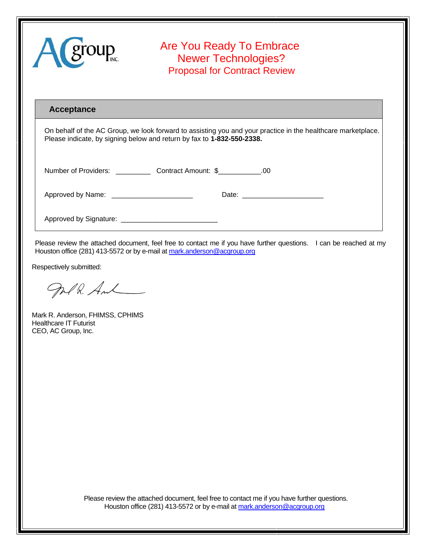| A group                                    | Are You Ready To Embrace<br><b>Newer Technologies?</b><br><b>Proposal for Contract Review</b>                                                                                          |
|--------------------------------------------|----------------------------------------------------------------------------------------------------------------------------------------------------------------------------------------|
| Acceptance                                 | On behalf of the AC Group, we look forward to assisting you and your practice in the healthcare marketplace.<br>Please indicate, by signing below and return by fax to 1-832-550-2338. |
|                                            |                                                                                                                                                                                        |
| Approved by Name: ________________________ |                                                                                                                                                                                        |
|                                            |                                                                                                                                                                                        |

Please review the attached document, feel free to contact me if you have further questions. I can be reached at my Houston office (281) 413-5572 or by e-mail at mark.anderson@acgroup.org

Respectively submitted:

Jolk. And

Mark R. Anderson, FHIMSS, CPHIMS Healthcare IT Futurist CEO, AC Group, Inc.

 Please review the attached document, feel free to contact me if you have further questions. Houston office (281) 413-5572 or by e-mail at mark.anderson@acgroup.org